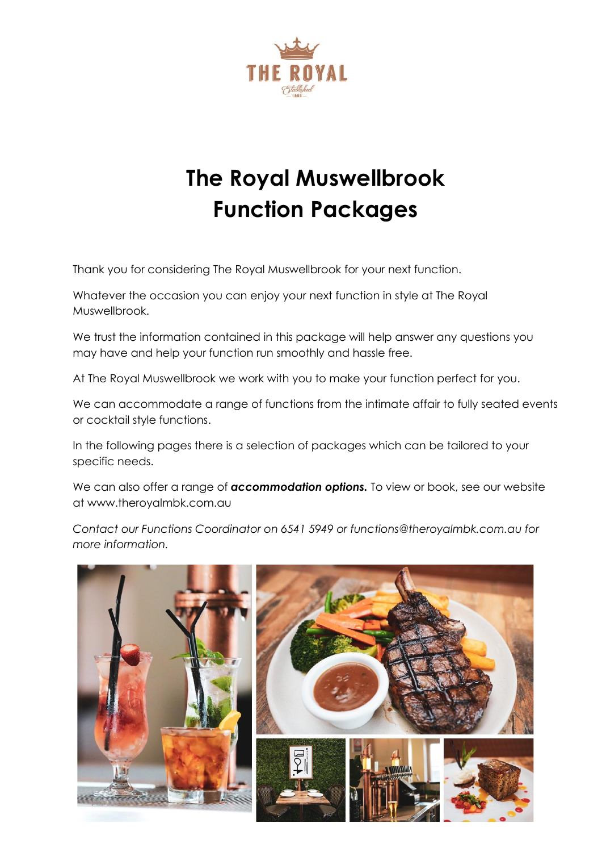

# **The Royal Muswellbrook Function Packages**

Thank you for considering The Royal Muswellbrook for your next function.

Whatever the occasion you can enjoy your next function in style at The Royal Muswellbrook.

We trust the information contained in this package will help answer any questions you may have and help your function run smoothly and hassle free.

At The Royal Muswellbrook we work with you to make your function perfect for you.

We can accommodate a range of functions from the intimate affair to fully seated events or cocktail style functions.

In the following pages there is a selection of packages which can be tailored to your specific needs.

We can also offer a range of **accommodation options.** To view or book, see our website at www.theroyalmbk.com.au

*Contact our Functions Coordinator on 6541 5949 or functions@theroyalmbk.com.au for more information.*

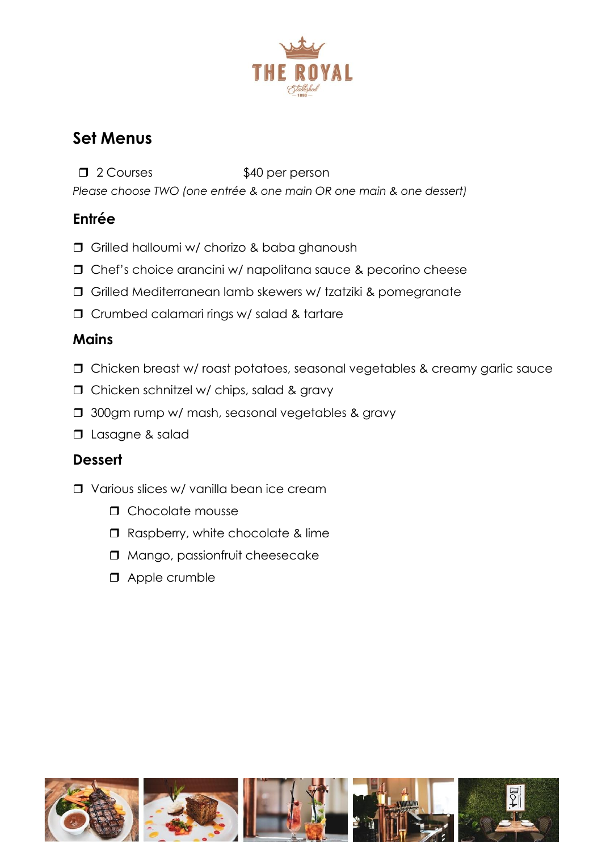

## **Set Menus**

□ 2 Courses \$40 per person *Please choose TWO (one entrée & one main OR one main & one dessert)*

#### **Entrée**

- G Grilled halloumi w/ chorizo & baba ghanoush
- Chef's choice arancini w/ napolitana sauce & pecorino cheese
- Grilled Mediterranean lamb skewers w/ tzatziki & pomegranate
- Crumbed calamari rings w/ salad & tartare

#### **Mains**

- Chicken breast w/ roast potatoes, seasonal vegetables & creamy garlic sauce
- **D** Chicken schnitzel w/ chips, salad & gravy
- **J** 300gm rump w/ mash, seasonal vegetables & gravy
- **D** Lasagne & salad

#### **Dessert**

- Various slices w/ vanilla bean ice cream
	- **n** Chocolate mousse
	- □ Raspberry, white chocolate & lime
	- $\Box$  Mango, passionfruit cheesecake
	- **D** Apple crumble

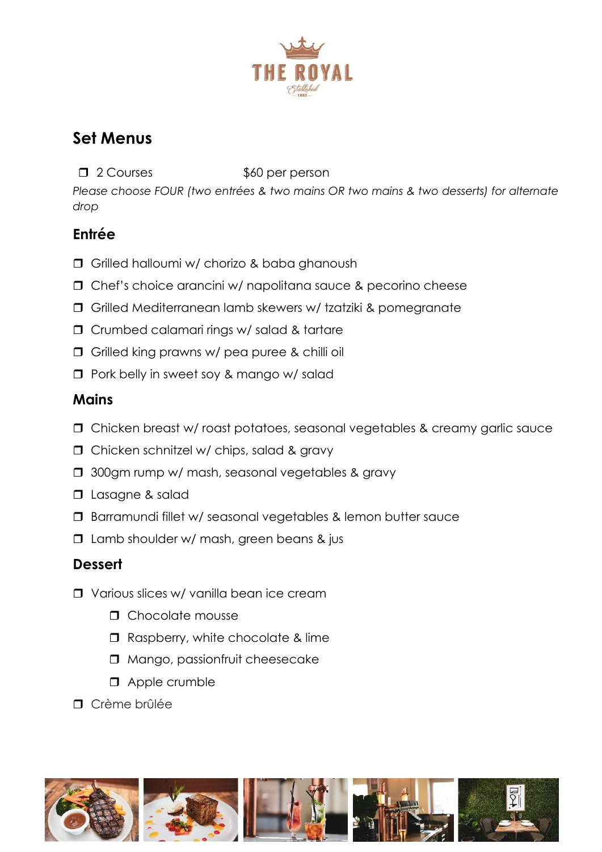

## **Set Menus**

**d** 2 Courses \$60 per person

*Please choose FOUR (two entrées & two mains OR two mains & two desserts) for alternate drop*

#### **Entrée**

- **Grilled halloumi w/ chorizo & baba ghanoush**
- Chef's choice arancini w/ napolitana sauce & pecorino cheese
- Grilled Mediterranean lamb skewers w/ tzatziki & pomegranate
- Crumbed calamari rings w/ salad & tartare
- Grilled king prawns w/ pea puree & chilli oil
- **D** Pork belly in sweet soy & mango w/ salad

#### **Mains**

- Chicken breast w/ roast potatoes, seasonal vegetables & creamy garlic sauce
- □ Chicken schnitzel w/ chips, salad & gravy
- **J** 300gm rump w/ mash, seasonal vegetables & gravy
- $\Box$  Lasagne & salad
- **Barramundi fillet w/ seasonal vegetables & lemon butter sauce**
- $\Box$  Lamb shoulder w/ mash, green beans & jus

### **Dessert**

- Various slices w/ vanilla bean ice cream
	- **n** Chocolate mousse
	- □ Raspberry, white chocolate & lime
	- $\Box$  Mango, passionfruit cheesecake
	- **D** Apple crumble
- **n** Crème brûlée









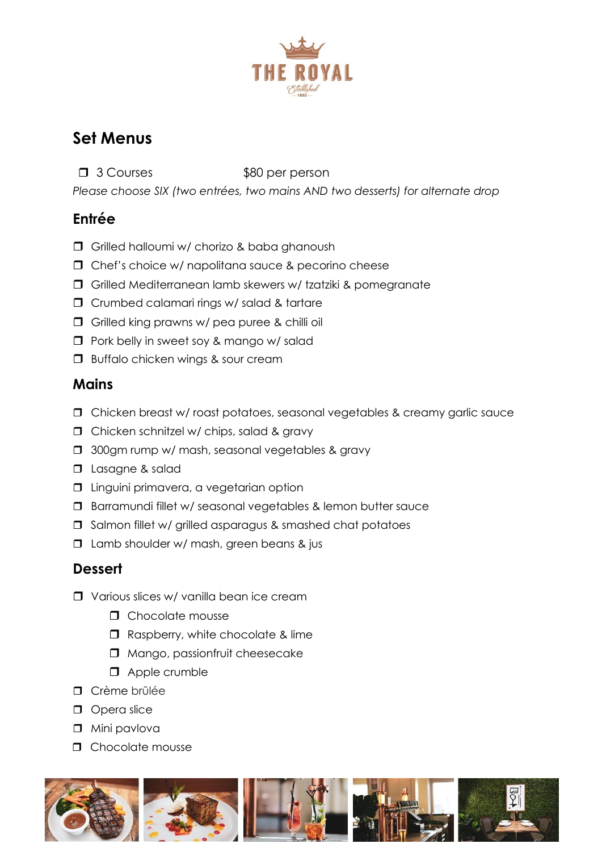

## **Set Menus**

**d** 3 Courses \$80 per person

*Please choose SIX (two entrées, two mains AND two desserts) for alternate drop*

#### **Entrée**

- Grilled halloumi w/ chorizo & baba ghanoush
- $\Box$  Chef's choice w/ napolitana sauce & pecorino cheese
- Grilled Mediterranean lamb skewers w/ tzatziki & pomegranate
- Crumbed calamari rings w/ salad & tartare
- Grilled king prawns w/ pea puree & chilli oil
- $\Box$  Pork belly in sweet soy & mango w/ salad
- **Buffalo chicken wings & sour cream**

#### **Mains**

- Chicken breast w/ roast potatoes, seasonal vegetables & creamy garlic sauce
- **D** Chicken schnitzel w/ chips, salad & gravy
- **J** 300gm rump w/ mash, seasonal vegetables & gravy
- **D** Lasagne & salad
- $\square$  Linguini primavera, a vegetarian option
- **Barramundi fillet w/ seasonal vegetables & lemon butter sauce**
- $\square$  Salmon fillet w/ grilled asparagus & smashed chat potatoes
- $\Box$  Lamb shoulder w/ mash, green beans & jus

#### **Dessert**

- **T** Various slices w/ vanilla bean ice cream
	- **n** Chocolate mousse
	- □ Raspberry, white chocolate & lime
	- $\Box$  Mango, passionfruit cheesecake
	- **D** Apple crumble
- **D** Crème brûlée
- **D** Opera slice
- **D** Mini pavlova
- $\Box$  Chocolate mousse









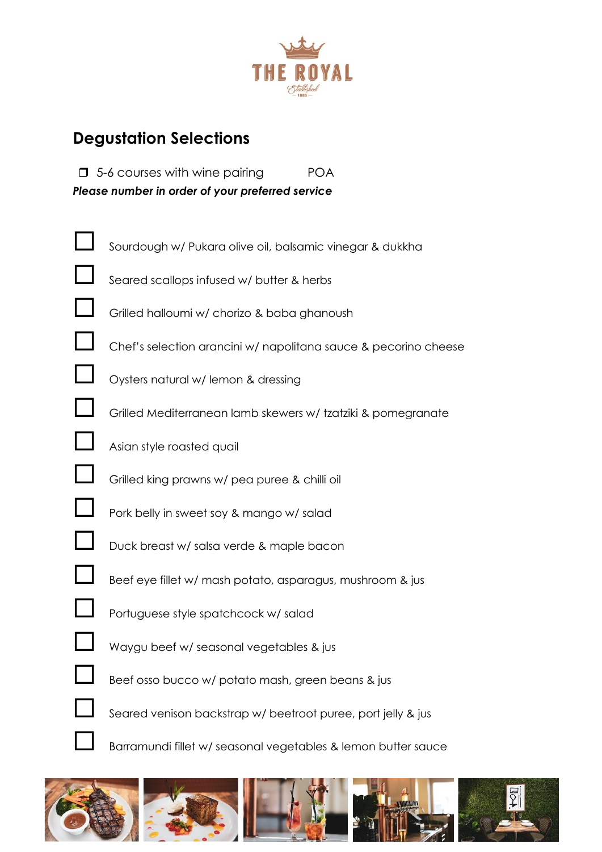

### **Degustation Selections**

 $\Box$  5-6 courses with wine pairing  $\Box$  POA *Please number in order of your preferred service*











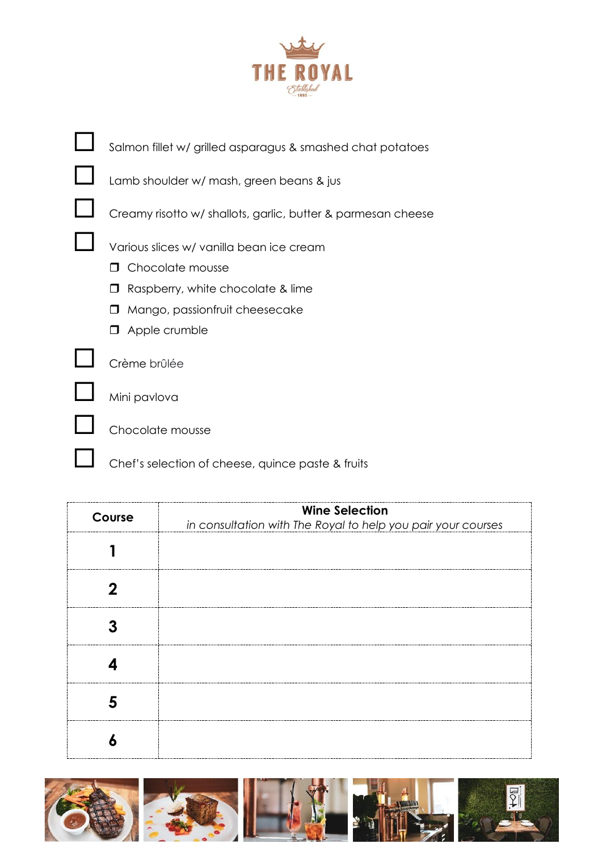

| Salmon fillet w/ grilled asparagus & smashed chat potatoes   |  |  |  |  |
|--------------------------------------------------------------|--|--|--|--|
| Lamb shoulder w/ mash, green beans & jus                     |  |  |  |  |
| Creamy risotto w/ shallots, garlic, butter & parmesan cheese |  |  |  |  |
| Various slices w/ vanilla bean ice cream                     |  |  |  |  |
| Chocolate mousse                                             |  |  |  |  |
| Raspberry, white chocolate & lime                            |  |  |  |  |
| Mango, passionfruit cheesecake<br>$\mathbf{L}$               |  |  |  |  |
| Apple crumble                                                |  |  |  |  |
| Crème brûlée                                                 |  |  |  |  |
| Mini pavlova                                                 |  |  |  |  |
| hocolate mousse                                              |  |  |  |  |

Chef's selection of cheese, quince paste & fruits

| Course | <b>Wine Selection</b><br>in consultation with The Royal to help you pair your courses |
|--------|---------------------------------------------------------------------------------------|
|        |                                                                                       |
|        |                                                                                       |
|        |                                                                                       |
|        |                                                                                       |
|        |                                                                                       |
|        |                                                                                       |

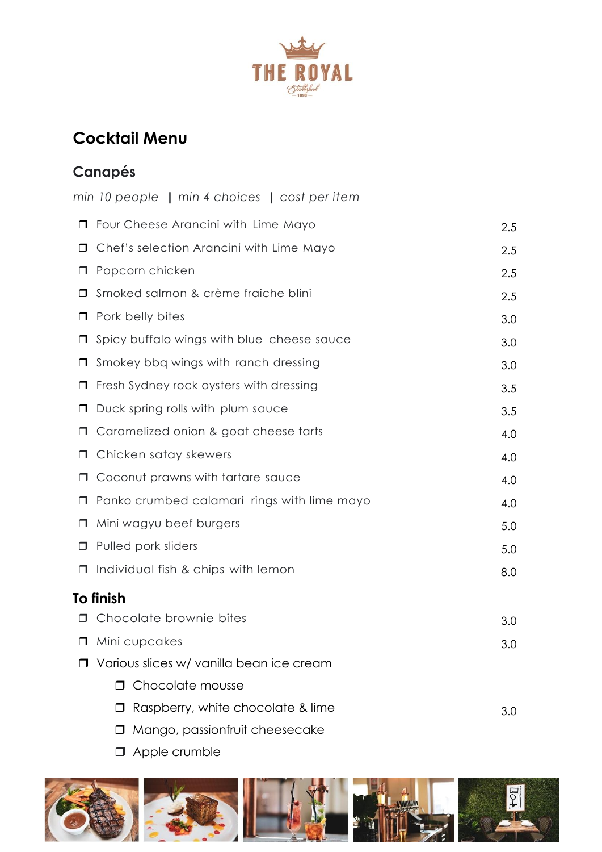

## **Cocktail Menu**

## **Canapés**

|        | min 10 people   min 4 choices   cost per item   |     |  |
|--------|-------------------------------------------------|-----|--|
| $\Box$ | Four Cheese Arancini with Lime Mayo             | 2.5 |  |
| □      | Chef's selection Arancini with Lime Mayo<br>2.5 |     |  |
| □      | Popcorn chicken                                 | 2.5 |  |
| $\Box$ | Smoked salmon & crème fraiche blini             | 2.5 |  |
| $\Box$ | Pork belly bites                                | 3.0 |  |
| $\Box$ | Spicy buffalo wings with blue cheese sauce      | 3.0 |  |
| □      | Smokey bbq wings with ranch dressing            | 3.0 |  |
| □      | Fresh Sydney rock oysters with dressing         | 3.5 |  |
| □      | Duck spring rolls with plum sauce               | 3.5 |  |
| □      | Caramelized onion & goat cheese tarts           | 4.0 |  |
| □      | Chicken satay skewers                           | 4.0 |  |
| □      | Coconut prawns with tartare sauce               | 4.0 |  |
| $\Box$ | Panko crumbed calamari rings with lime mayo     | 4.0 |  |
| □      | Mini wagyu beef burgers                         | 5.0 |  |
| $\Box$ | Pulled pork sliders                             | 5.0 |  |
| $\Box$ | Individual fish & chips with lemon              | 8.0 |  |
|        | To finish                                       |     |  |
| $\Box$ | Chocolate brownie bites                         | 3.0 |  |
|        | Mini cupcakes                                   | 3.0 |  |
|        | Various slices w/ vanilla bean ice cream        |     |  |
|        | Chocolate mousse<br>П                           |     |  |
|        | Raspberry, white chocolate & lime               | 3.0 |  |
|        | Mango, passionfruit cheesecake                  |     |  |

**D** Apple crumble

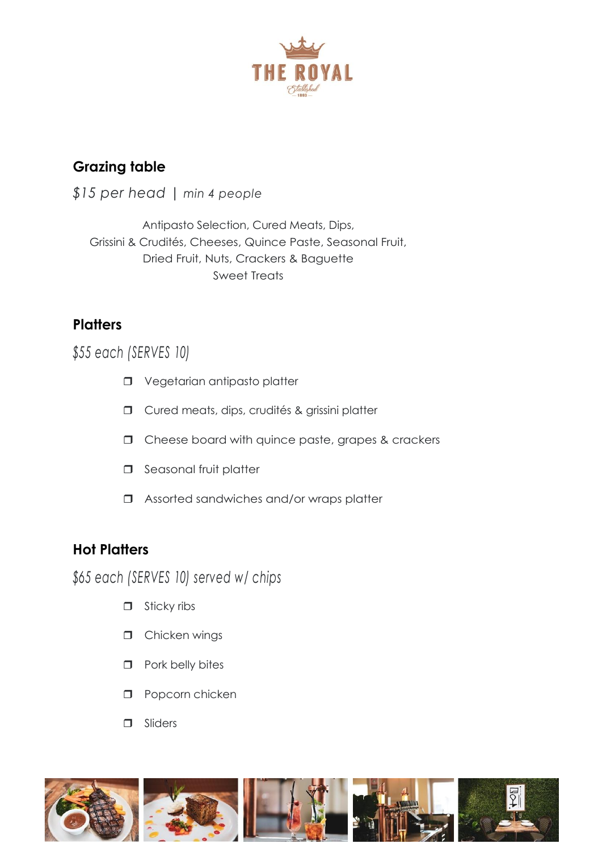

#### **Grazing table**

*\$15 per head* | *min 4 people*

Antipasto Selection, Cured Meats, Dips, Grissini & Crudités, Cheeses, Quince Paste, Seasonal Fruit, Dried Fruit, Nuts, Crackers & Baguette Sweet Treats

#### **Platters**

*\$55 each (SERVES 10)*

- **D** Vegetarian antipasto platter
- **D** Cured meats, dips, crudités & grissini platter
- $\Box$  Cheese board with quince paste, grapes & crackers
- $\Box$  Seasonal fruit platter
- □ Assorted sandwiches and/or wraps platter

#### **Hot Platters**

*\$65 each (SERVES 10) served w/ chips*

- $\Box$  Sticky ribs
- **D** Chicken wings
- $\Box$  Pork belly bites
- **D** Popcorn chicken
- **D** Sliders

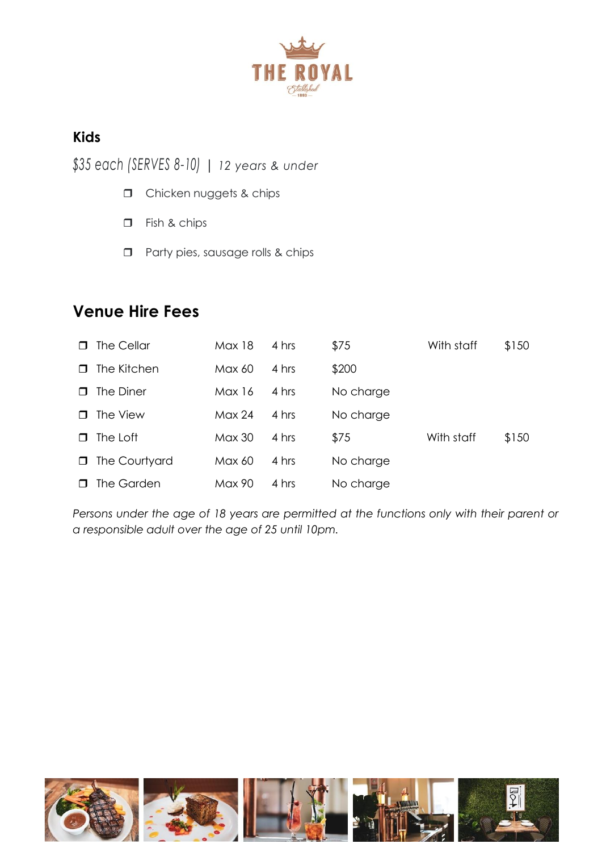

#### **Kids**

*\$35 each (SERVES 8-10)* | *12 years & under*

- **D** Chicken nuggets & chips
- Fish & chips
- **D** Party pies, sausage rolls & chips

### **Venue Hire Fees**

| ⊓      | The Cellar    | Max 18 | 4 hrs | \$75      | With staff | \$150 |
|--------|---------------|--------|-------|-----------|------------|-------|
| П.     | The Kitchen   | Max 60 | 4 hrs | \$200     |            |       |
| П      | The Diner     | Max 16 | 4 hrs | No charge |            |       |
| П.     | The View      | Max 24 | 4 hrs | No charge |            |       |
| П.     | The Loft      | Max 30 | 4 hrs | \$75      | With staff | \$150 |
| $\Box$ | The Courtyard | Max 60 | 4 hrs | No charge |            |       |
|        | The Garden    | Max 90 | 4 hrs | No charge |            |       |

Persons under the age of 18 years are permitted at the functions only with their parent or *a responsible adult over the age of 25 until 10pm.*

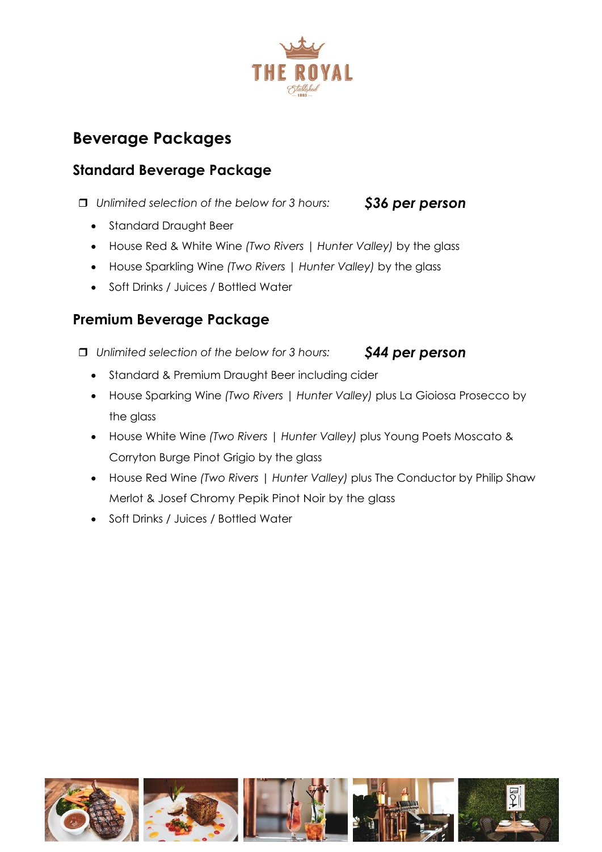

## **Beverage Packages**

#### **Standard Beverage Package**

*Unlimited selection of the below for 3 hours: \$36 per person*

- Standard Draught Beer
- House Red & White Wine *(Two Rivers | Hunter Valley)* by the glass
- House Sparkling Wine *(Two Rivers | Hunter Valley)* by the glass
- Soft Drinks / Juices / Bottled Water

#### **Premium Beverage Package**

*Unlimited selection of the below for 3 hours: \$44 per person*

- Standard & Premium Draught Beer including cider
- House Sparking Wine *(Two Rivers | Hunter Valley)* plus La Gioiosa Prosecco by the glass
- House White Wine *(Two Rivers | Hunter Valley)* plus Young Poets Moscato & Corryton Burge Pinot Grigio by the glass
- House Red Wine *(Two Rivers | Hunter Valley)* plus The Conductor by Philip Shaw Merlot & Josef Chromy Pepik Pinot Noir by the glass
- Soft Drinks / Juices / Bottled Water

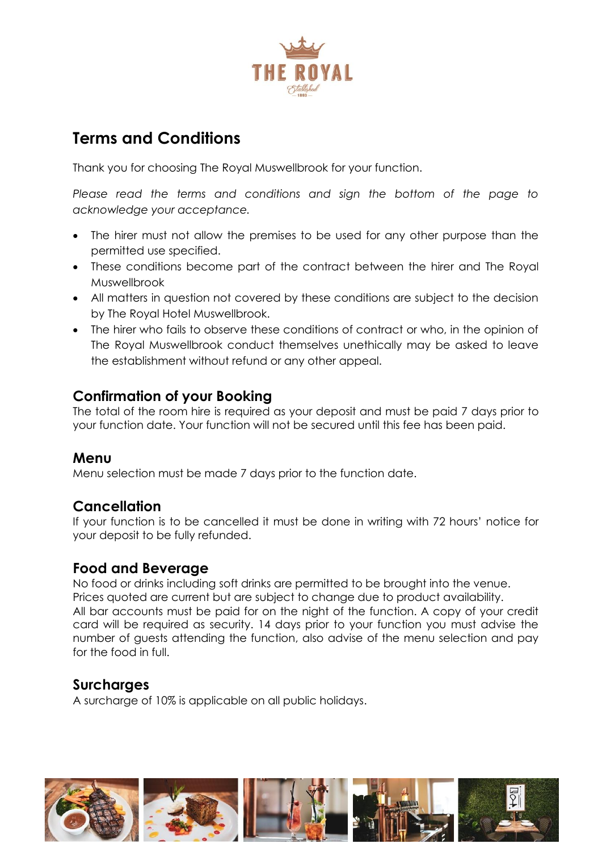

## **Terms and Conditions**

Thank you for choosing The Royal Muswellbrook for your function.

Please read the terms and conditions and sign the bottom of the page to *acknowledge your acceptance.*

- The hirer must not allow the premises to be used for any other purpose than the permitted use specified.
- These conditions become part of the contract between the hirer and The Royal Muswellbrook
- All matters in question not covered by these conditions are subject to the decision by The Royal Hotel Muswellbrook.
- The hirer who fails to observe these conditions of contract or who, in the opinion of The Royal Muswellbrook conduct themselves unethically may be asked to leave the establishment without refund or any other appeal.

#### **Confirmation of your Booking**

The total of the room hire is required as your deposit and must be paid 7 days prior to your function date. Your function will not be secured until this fee has been paid.

#### **Menu**

Menu selection must be made 7 days prior to the function date.

#### **Cancellation**

If your function is to be cancelled it must be done in writing with 72 hours' notice for your deposit to be fully refunded.

#### **Food and Beverage**

No food or drinks including soft drinks are permitted to be brought into the venue. Prices quoted are current but are subject to change due to product availability. All bar accounts must be paid for on the night of the function. A copy of your credit card will be required as security. 14 days prior to your function you must advise the number of guests attending the function, also advise of the menu selection and pay for the food in full.

#### **Surcharges**

A surcharge of 10% is applicable on all public holidays.

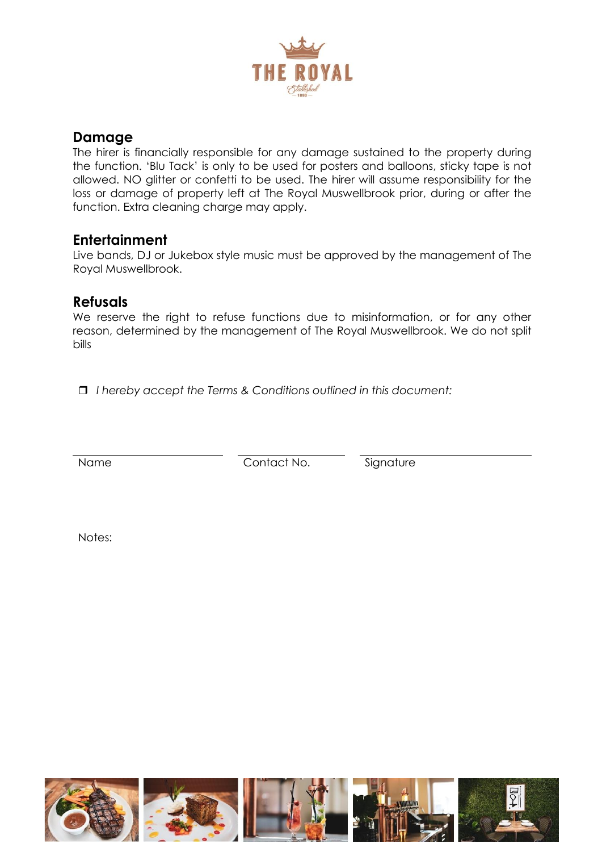

#### **Damage**

The hirer is financially responsible for any damage sustained to the property during the function. 'Blu Tack' is only to be used for posters and balloons, sticky tape is not allowed. NO glitter or confetti to be used. The hirer will assume responsibility for the loss or damage of property left at The Royal Muswellbrook prior, during or after the function. Extra cleaning charge may apply.

#### **Entertainment**

Live bands, DJ or Jukebox style music must be approved by the management of The Royal Muswellbrook.

#### **Refusals**

We reserve the right to refuse functions due to misinformation, or for any other reason, determined by the management of The Royal Muswellbrook. We do not split bills

*I hereby accept the Terms & Conditions outlined in this document:*

Name Contact No. Signature

Notes:

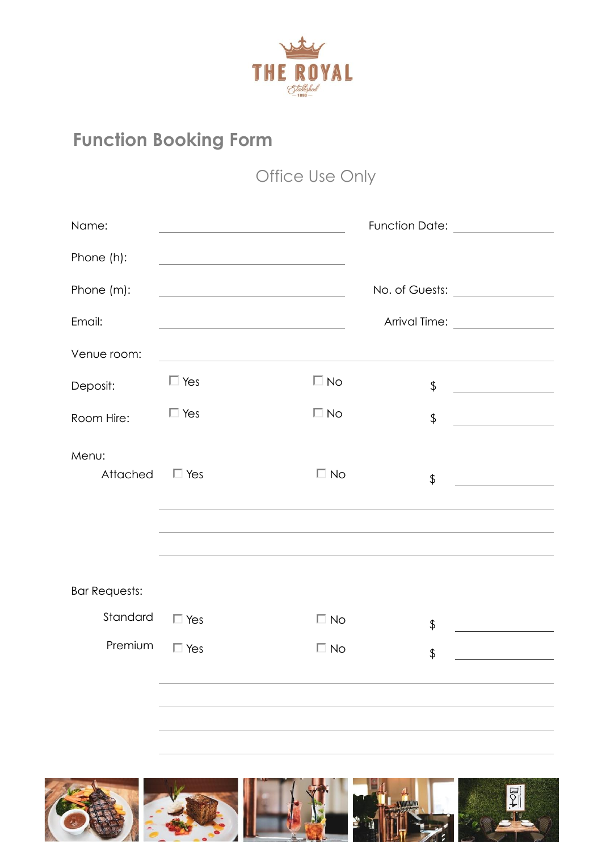

## **Function Booking Form**

## Office Use Only

| Name:                |                                                                                                                      |              | Function Date: <u>containing</u>                                       |  |
|----------------------|----------------------------------------------------------------------------------------------------------------------|--------------|------------------------------------------------------------------------|--|
| Phone (h):           |                                                                                                                      |              |                                                                        |  |
| Phone (m):           | <u> 1989 - Johann Barn, mars ann an t-Amhain Aonaich an t-Aonaich an t-Aonaich ann an t-Aonaich ann an t-Aonaich</u> |              | No. of Guests: ________________                                        |  |
| Email:               |                                                                                                                      |              | Arrival Time: ________________                                         |  |
| Venue room:          |                                                                                                                      |              |                                                                        |  |
| Deposit:             | $\Box$ Yes                                                                                                           | $\Box$ No    | \$<br><u> 1990 - Johann Barbara, martxa</u>                            |  |
| Room Hire:           | $\Box$ Yes                                                                                                           | $\Box$ No    | $\frac{1}{2}$<br><u> 1980 - Jan Barbara Barbara, politik politik (</u> |  |
| Menu:<br>Attached    | $\Box$ Yes                                                                                                           | $\square$ No | \$                                                                     |  |
|                      |                                                                                                                      |              |                                                                        |  |
| <b>Bar Requests:</b> |                                                                                                                      |              |                                                                        |  |
| Standard             | $\Box$ Yes                                                                                                           | $\Box$ No    | \$                                                                     |  |
| Premium              | $\Box$ Yes                                                                                                           | $\Box$ No    | \$                                                                     |  |
|                      |                                                                                                                      |              |                                                                        |  |
|                      |                                                                                                                      |              |                                                                        |  |
|                      |                                                                                                                      |              |                                                                        |  |